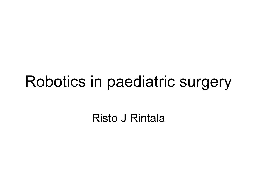### Robotics in paediatric surgery

Risto J Rintala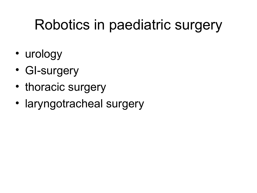#### Robotics in paediatric surgery

- urology
- GI-surgery
- thoracic surgery
- laryngotracheal surgery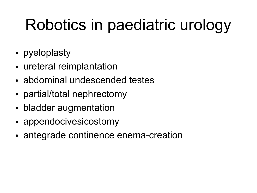# Robotics in paediatric urology

- pyeloplasty
- ureteral reimplantation
- abdominal undescended testes
- partial/total nephrectomy
- bladder augmentation
- appendocivesicostomy
- antegrade continence enema-creation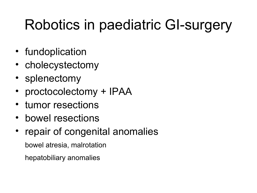## Robotics in paediatric GI-surgery

- fundoplication
- cholecystectomy
- splenectomy
- proctocolectomy + IPAA
- tumor resections
- bowel resections
- repair of congenital anomalies

bowel atresia, malrotation

hepatobiliary anomalies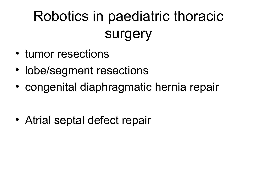## Robotics in paediatric thoracic surgery

- tumor resections
- lobe/segment resections
- congenital diaphragmatic hernia repair

• Atrial septal defect repair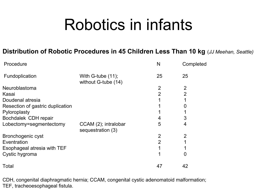## Robotics in infants

#### **Distribution of Robotic Procedures in 45 Children Less Than 10 kg** (*JJ Meehan, Seattle)*

| Procedure                        |                                             | N              | Completed      |  |
|----------------------------------|---------------------------------------------|----------------|----------------|--|
| Fundoplication                   | With G-tube $(11)$ ;<br>without G-tube (14) | 25             | 25             |  |
| Neuroblastoma                    |                                             | $\overline{2}$ | $\overline{2}$ |  |
| Kasai                            |                                             | 2              | $\overline{2}$ |  |
| Doudenal atresia                 |                                             |                |                |  |
| Resection of gastric duplication |                                             |                | 0              |  |
| Pyloroplasty                     |                                             |                |                |  |
| Bochdalek CDH repair             |                                             |                | 3              |  |
| Lobectomy=segmentectomy          | CCAM (2); intralobar<br>sequestration (3)   | 5              | 4              |  |
| Bronchogenic cyst                |                                             | $\overline{2}$ | $\overline{2}$ |  |
| Eventration                      |                                             | $\overline{2}$ |                |  |
| Esophageal atresia with TEF      |                                             |                |                |  |
| Cystic hygroma                   |                                             |                | 0              |  |
| Total                            |                                             | 47             | 42             |  |

CDH, congenital diaphragmatic hernia; CCAM, congenital cystic adenomatoid malformation; TEF, tracheoesophageal fistula.